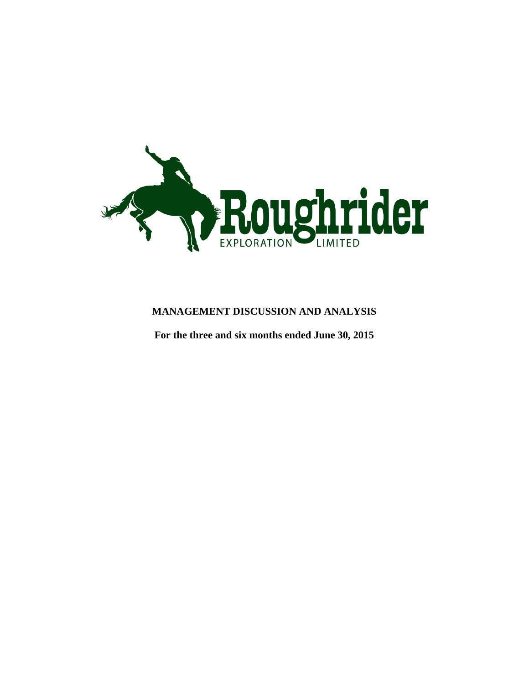

# **MANAGEMENT DISCUSSION AND ANALYSIS**

<span id="page-0-0"></span>**For the three and six months ended June 30, 2015**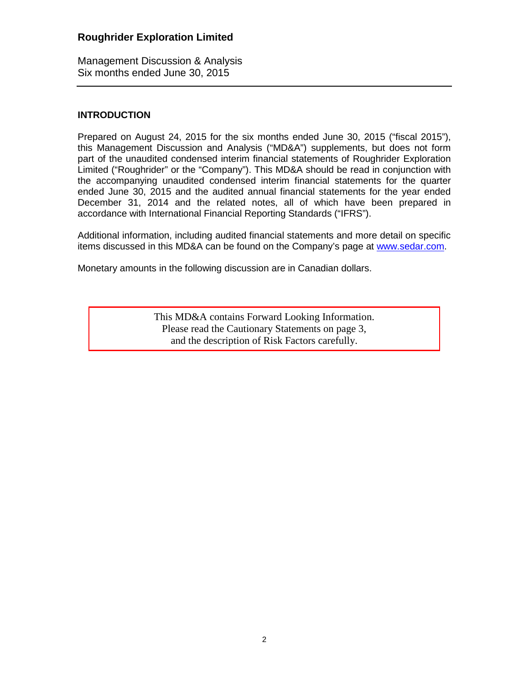Management Discussion & Analysis Six months ended June 30, 2015

### **INTRODUCTION**

Prepared on August 24, 2015 for the six months ended June 30, 2015 ("fiscal 2015"), this Management Discussion and Analysis ("MD&A") supplements, but does not form part of the unaudited condensed interim financial statements of Roughrider Exploration Limited ("Roughrider" or the "Company"). This MD&A should be read in conjunction with the accompanying unaudited condensed interim financial statements for the quarter ended June 30, 2015 and the audited annual financial statements for the year ended December 31, 2014 and the related notes, all of which have been prepared in accordance with International Financial Reporting Standards ("IFRS").

Additional information, including audited financial statements and more detail on specific items discussed in this MD&A can be found on the Company's page at [www.sedar.com.](http://www.sedar.com/)

Monetary amounts in the following discussion are in Canadian dollars.

This MD&A contains Forward Looking Information. Please read the Cautionary Statements on page 3, and the description of Risk Factors carefully.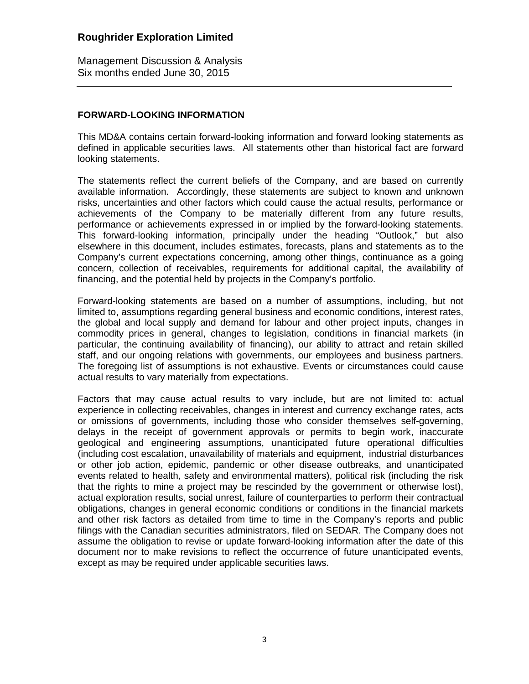Management Discussion & Analysis Six months ended June 30, 2015

### **FORWARD-LOOKING INFORMATION**

This MD&A contains certain forward-looking information and forward looking statements as defined in applicable securities laws. All statements other than historical fact are forward looking statements.

The statements reflect the current beliefs of the Company, and are based on currently available information. Accordingly, these statements are subject to known and unknown risks, uncertainties and other factors which could cause the actual results, performance or achievements of the Company to be materially different from any future results, performance or achievements expressed in or implied by the forward-looking statements. This forward-looking information, principally under the heading "Outlook," but also elsewhere in this document, includes estimates, forecasts, plans and statements as to the Company's current expectations concerning, among other things, continuance as a going concern, collection of receivables, requirements for additional capital, the availability of financing, and the potential held by projects in the Company's portfolio.

Forward-looking statements are based on a number of assumptions, including, but not limited to, assumptions regarding general business and economic conditions, interest rates, the global and local supply and demand for labour and other project inputs, changes in commodity prices in general, changes to legislation, conditions in financial markets (in particular, the continuing availability of financing), our ability to attract and retain skilled staff, and our ongoing relations with governments, our employees and business partners. The foregoing list of assumptions is not exhaustive. Events or circumstances could cause actual results to vary materially from expectations.

Factors that may cause actual results to vary include, but are not limited to: actual experience in collecting receivables, changes in interest and currency exchange rates, acts or omissions of governments, including those who consider themselves self-governing, delays in the receipt of government approvals or permits to begin work, inaccurate geological and engineering assumptions, unanticipated future operational difficulties (including cost escalation, unavailability of materials and equipment, industrial disturbances or other job action, epidemic, pandemic or other disease outbreaks, and unanticipated events related to health, safety and environmental matters), political risk (including the risk that the rights to mine a project may be rescinded by the government or otherwise lost), actual exploration results, social unrest, failure of counterparties to perform their contractual obligations, changes in general economic conditions or conditions in the financial markets and other risk factors as detailed from time to time in the Company's reports and public filings with the Canadian securities administrators, filed on SEDAR. The Company does not assume the obligation to revise or update forward-looking information after the date of this document nor to make revisions to reflect the occurrence of future unanticipated events, except as may be required under applicable securities laws.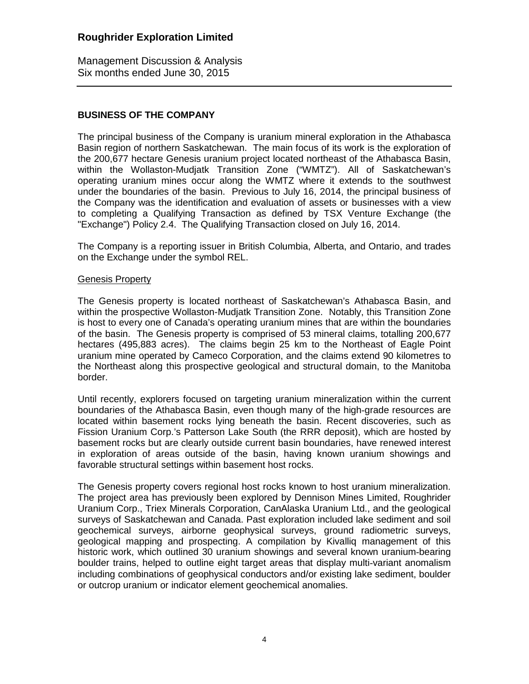Management Discussion & Analysis Six months ended June 30, 2015

### **BUSINESS OF THE COMPANY**

The principal business of the Company is uranium mineral exploration in the Athabasca Basin region of northern Saskatchewan. The main focus of its work is the exploration of the 200,677 hectare Genesis uranium project located northeast of the Athabasca Basin, within the Wollaston-Mudjatk Transition Zone ("WMTZ"). All of Saskatchewan's operating uranium mines occur along the WMTZ where it extends to the southwest under the boundaries of the basin. Previous to July 16, 2014, the principal business of the Company was the identification and evaluation of assets or businesses with a view to completing a Qualifying Transaction as defined by TSX Venture Exchange (the "Exchange") Policy 2.4. The Qualifying Transaction closed on July 16, 2014.

The Company is a reporting issuer in British Columbia, Alberta, and Ontario, and trades on the Exchange under the symbol REL.

### Genesis Property

The Genesis property is located northeast of Saskatchewan's Athabasca Basin, and within the prospective Wollaston-Mudjatk Transition Zone. Notably, this Transition Zone is host to every one of Canada's operating uranium mines that are within the boundaries of the basin. The Genesis property is comprised of 53 mineral claims, totalling 200,677 hectares (495,883 acres). The claims begin 25 km to the Northeast of Eagle Point uranium mine operated by Cameco Corporation, and the claims extend 90 kilometres to the Northeast along this prospective geological and structural domain, to the Manitoba border.

Until recently, explorers focused on targeting uranium mineralization within the current boundaries of the Athabasca Basin, even though many of the high-grade resources are located within basement rocks lying beneath the basin. Recent discoveries, such as Fission Uranium Corp.'s Patterson Lake South (the RRR deposit), which are hosted by basement rocks but are clearly outside current basin boundaries, have renewed interest in exploration of areas outside of the basin, having known uranium showings and favorable structural settings within basement host rocks.

The Genesis property covers regional host rocks known to host uranium mineralization. The project area has previously been explored by Dennison Mines Limited, Roughrider Uranium Corp., Triex Minerals Corporation, CanAlaska Uranium Ltd., and the geological surveys of Saskatchewan and Canada. Past exploration included lake sediment and soil geochemical surveys, airborne geophysical surveys, ground radiometric surveys, geological mapping and prospecting. A compilation by Kivalliq management of this historic work, which outlined 30 uranium showings and several known uranium-bearing boulder trains, helped to outline eight target areas that display multi-variant anomalism including combinations of geophysical conductors and/or existing lake sediment, boulder or outcrop uranium or indicator element geochemical anomalies.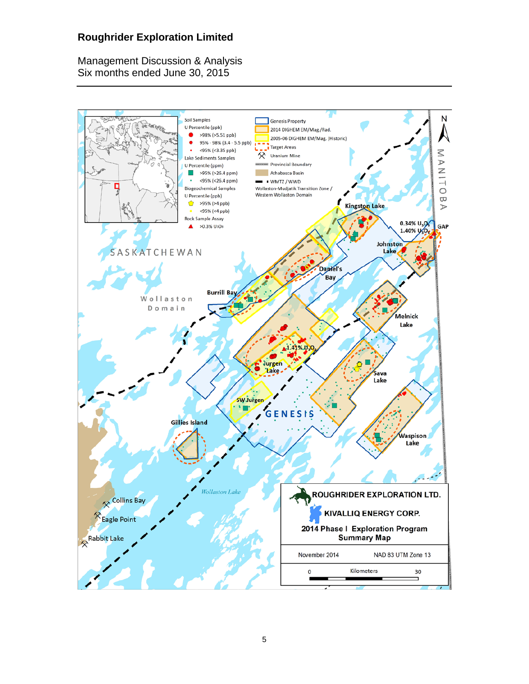Management Discussion & Analysis Six months ended June 30, 2015

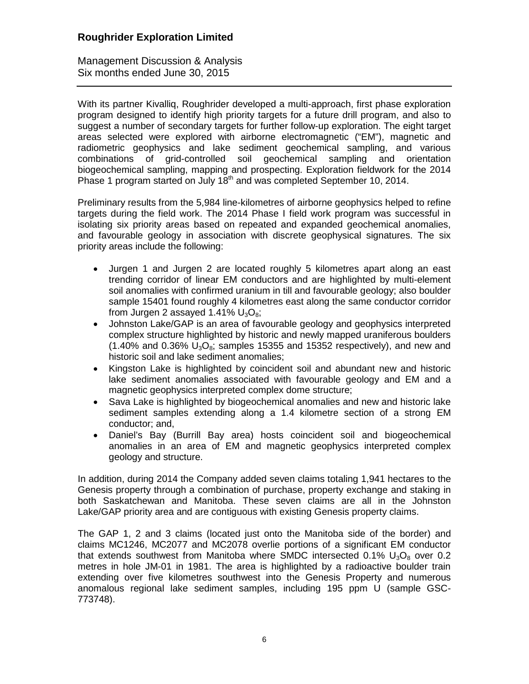Management Discussion & Analysis Six months ended June 30, 2015

With its partner Kivalliq, Roughrider developed a multi-approach, first phase exploration program designed to identify high priority targets for a future drill program, and also to suggest a number of secondary targets for further follow-up exploration. The eight target areas selected were explored with airborne electromagnetic ("EM"), magnetic and radiometric geophysics and lake sediment geochemical sampling, and various combinations of grid-controlled soil geochemical sampling and orientation biogeochemical sampling, mapping and prospecting. Exploration fieldwork for the 2014 Phase 1 program started on July  $18<sup>th</sup>$  and was completed September 10, 2014.

Preliminary results from the 5,984 line-kilometres of airborne geophysics helped to refine targets during the field work. The 2014 Phase I field work program was successful in isolating six priority areas based on repeated and expanded geochemical anomalies, and favourable geology in association with discrete geophysical signatures. The six priority areas include the following:

- Jurgen 1 and Jurgen 2 are located roughly 5 kilometres apart along an east trending corridor of linear EM conductors and are highlighted by multi-element soil anomalies with confirmed uranium in till and favourable geology; also boulder sample 15401 found roughly 4 kilometres east along the same conductor corridor from Jurgen 2 assayed 1.41%  $U_3O_8$ ;
- Johnston Lake/GAP is an area of favourable geology and geophysics interpreted complex structure highlighted by historic and newly mapped uraniferous boulders  $(1.40\%$  and 0.36%  $U_3O_8$ ; samples 15355 and 15352 respectively), and new and historic soil and lake sediment anomalies;
- Kingston Lake is highlighted by coincident soil and abundant new and historic lake sediment anomalies associated with favourable geology and EM and a magnetic geophysics interpreted complex dome structure;
- Sava Lake is highlighted by biogeochemical anomalies and new and historic lake sediment samples extending along a 1.4 kilometre section of a strong EM conductor; and,
- Daniel's Bay (Burrill Bay area) hosts coincident soil and biogeochemical anomalies in an area of EM and magnetic geophysics interpreted complex geology and structure.

In addition, during 2014 the Company added seven claims totaling 1,941 hectares to the Genesis property through a combination of purchase, property exchange and staking in both Saskatchewan and Manitoba. These seven claims are all in the Johnston Lake/GAP priority area and are contiguous with existing Genesis property claims.

The GAP 1, 2 and 3 claims (located just onto the Manitoba side of the border) and claims MC1246, MC2077 and MC2078 overlie portions of a significant EM conductor that extends southwest from Manitoba where SMDC intersected  $0.1\%$  U<sub>3</sub>O<sub>8</sub> over 0.2 metres in hole JM-01 in 1981. The area is highlighted by a radioactive boulder train extending over five kilometres southwest into the Genesis Property and numerous anomalous regional lake sediment samples, including 195 ppm U (sample GSC-773748).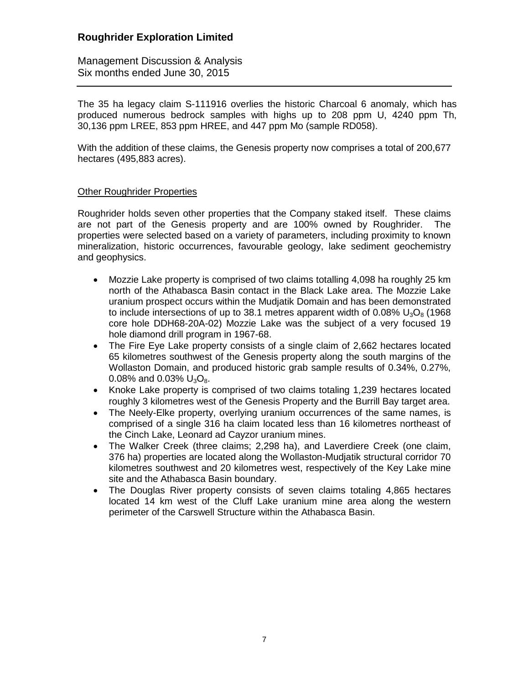Management Discussion & Analysis Six months ended June 30, 2015

The 35 ha legacy claim S-111916 overlies the historic Charcoal 6 anomaly, which has produced numerous bedrock samples with highs up to 208 ppm U, 4240 ppm Th, 30,136 ppm LREE, 853 ppm HREE, and 447 ppm Mo (sample RD058).

With the addition of these claims, the Genesis property now comprises a total of 200,677 hectares (495,883 acres).

### Other Roughrider Properties

Roughrider holds seven other properties that the Company staked itself. These claims are not part of the Genesis property and are 100% owned by Roughrider. The properties were selected based on a variety of parameters, including proximity to known mineralization, historic occurrences, favourable geology, lake sediment geochemistry and geophysics.

- Mozzie Lake property is comprised of two claims totalling 4,098 ha roughly 25 km north of the Athabasca Basin contact in the Black Lake area. The Mozzie Lake uranium prospect occurs within the Mudjatik Domain and has been demonstrated to include intersections of up to 38.1 metres apparent width of 0.08%  $U_3O_8$  (1968) core hole DDH68-20A-02) Mozzie Lake was the subject of a very focused 19 hole diamond drill program in 1967-68.
- The Fire Eye Lake property consists of a single claim of 2,662 hectares located 65 kilometres southwest of the Genesis property along the south margins of the Wollaston Domain, and produced historic grab sample results of 0.34%, 0.27%, 0.08% and 0.03%  $U_3O_8$ .
- Knoke Lake property is comprised of two claims totaling 1,239 hectares located roughly 3 kilometres west of the Genesis Property and the Burrill Bay target area.
- The Neely-Elke property, overlying uranium occurrences of the same names, is comprised of a single 316 ha claim located less than 16 kilometres northeast of the Cinch Lake, Leonard ad Cayzor uranium mines.
- The Walker Creek (three claims; 2,298 ha), and Laverdiere Creek (one claim, 376 ha) properties are located along the Wollaston-Mudjatik structural corridor 70 kilometres southwest and 20 kilometres west, respectively of the Key Lake mine site and the Athabasca Basin boundary.
- The Douglas River property consists of seven claims totaling 4,865 hectares located 14 km west of the Cluff Lake uranium mine area along the western perimeter of the Carswell Structure within the Athabasca Basin.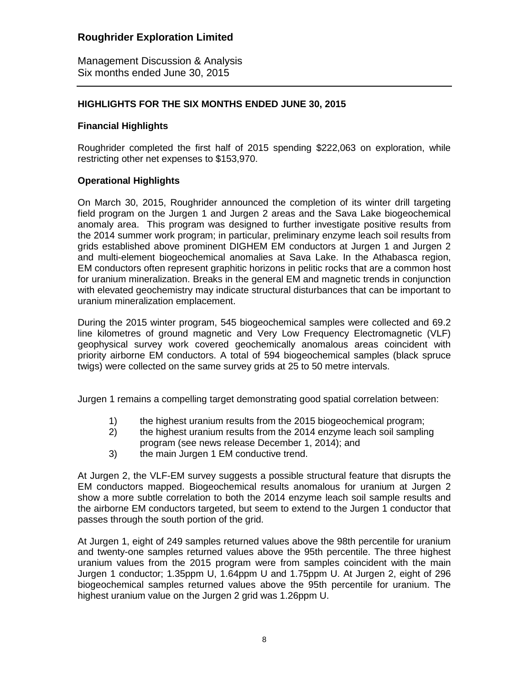Management Discussion & Analysis Six months ended June 30, 2015

### **HIGHLIGHTS FOR THE SIX MONTHS ENDED JUNE 30, 2015**

### **Financial Highlights**

Roughrider completed the first half of 2015 spending \$222,063 on exploration, while restricting other net expenses to \$153,970.

### **Operational Highlights**

On March 30, 2015, Roughrider announced the completion of its winter drill targeting field program on the Jurgen 1 and Jurgen 2 areas and the Sava Lake biogeochemical anomaly area. This program was designed to further investigate positive results from the 2014 summer work program; in particular, preliminary enzyme leach soil results from grids established above prominent DIGHEM EM conductors at Jurgen 1 and Jurgen 2 and multi-element biogeochemical anomalies at Sava Lake. In the Athabasca region, EM conductors often represent graphitic horizons in pelitic rocks that are a common host for uranium mineralization. Breaks in the general EM and magnetic trends in conjunction with elevated geochemistry may indicate structural disturbances that can be important to uranium mineralization emplacement.

During the 2015 winter program, 545 biogeochemical samples were collected and 69.2 line kilometres of ground magnetic and Very Low Frequency Electromagnetic (VLF) geophysical survey work covered geochemically anomalous areas coincident with priority airborne EM conductors. A total of 594 biogeochemical samples (black spruce twigs) were collected on the same survey grids at 25 to 50 metre intervals.

Jurgen 1 remains a compelling target demonstrating good spatial correlation between:

- 1) the highest uranium results from the 2015 biogeochemical program;
- 2) the highest uranium results from the 2014 enzyme leach soil sampling program (see news release December 1, 2014); and
- 3) the main Jurgen 1 EM conductive trend.

At Jurgen 2, the VLF-EM survey suggests a possible structural feature that disrupts the EM conductors mapped. Biogeochemical results anomalous for uranium at Jurgen 2 show a more subtle correlation to both the 2014 enzyme leach soil sample results and the airborne EM conductors targeted, but seem to extend to the Jurgen 1 conductor that passes through the south portion of the grid.

At Jurgen 1, eight of 249 samples returned values above the 98th percentile for uranium and twenty-one samples returned values above the 95th percentile. The three highest uranium values from the 2015 program were from samples coincident with the main Jurgen 1 conductor; 1.35ppm U, 1.64ppm U and 1.75ppm U. At Jurgen 2, eight of 296 biogeochemical samples returned values above the 95th percentile for uranium. The highest uranium value on the Jurgen 2 grid was 1.26ppm U.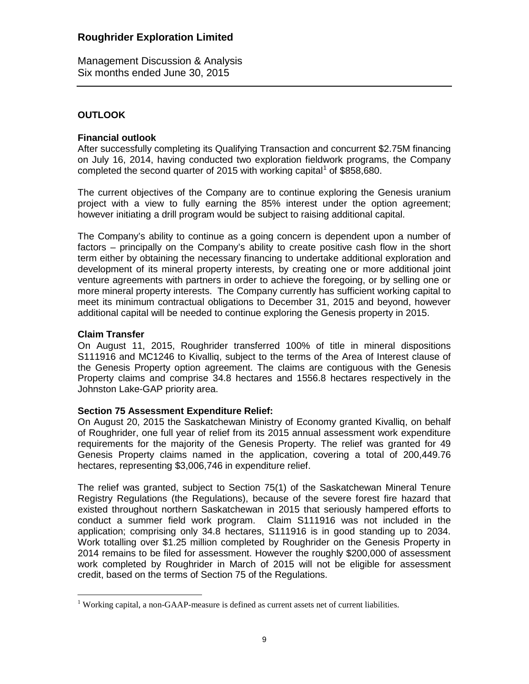Management Discussion & Analysis Six months ended June 30, 2015

### **OUTLOOK**

### **Financial outlook**

After successfully completing its Qualifying Transaction and concurrent \$2.75M financing on July 16, 2014, having conducted two exploration fieldwork programs, the Company completed the second quarter of 20[1](#page-0-0)5 with working capital<sup>1</sup> of \$858,680.

The current objectives of the Company are to continue exploring the Genesis uranium project with a view to fully earning the 85% interest under the option agreement; however initiating a drill program would be subject to raising additional capital.

The Company's ability to continue as a going concern is dependent upon a number of factors – principally on the Company's ability to create positive cash flow in the short term either by obtaining the necessary financing to undertake additional exploration and development of its mineral property interests, by creating one or more additional joint venture agreements with partners in order to achieve the foregoing, or by selling one or more mineral property interests. The Company currently has sufficient working capital to meet its minimum contractual obligations to December 31, 2015 and beyond, however additional capital will be needed to continue exploring the Genesis property in 2015.

### **Claim Transfer**

On August 11, 2015, Roughrider transferred 100% of title in mineral dispositions S111916 and MC1246 to Kivalliq, subject to the terms of the Area of Interest clause of the Genesis Property option agreement. The claims are contiguous with the Genesis Property claims and comprise 34.8 hectares and 1556.8 hectares respectively in the Johnston Lake-GAP priority area.

### **Section 75 Assessment Expenditure Relief:**

On August 20, 2015 the Saskatchewan Ministry of Economy granted Kivalliq, on behalf of Roughrider, one full year of relief from its 2015 annual assessment work expenditure requirements for the majority of the Genesis Property. The relief was granted for 49 Genesis Property claims named in the application, covering a total of 200,449.76 hectares, representing \$3,006,746 in expenditure relief.

The relief was granted, subject to Section 75(1) of the Saskatchewan Mineral Tenure Registry Regulations (the Regulations), because of the severe forest fire hazard that existed throughout northern Saskatchewan in 2015 that seriously hampered efforts to conduct a summer field work program. Claim S111916 was not included in the application; comprising only 34.8 hectares, S111916 is in good standing up to 2034. Work totalling over \$1.25 million completed by Roughrider on the Genesis Property in 2014 remains to be filed for assessment. However the roughly \$200,000 of assessment work completed by Roughrider in March of 2015 will not be eligible for assessment credit, based on the terms of Section 75 of the Regulations.

 $1$  Working capital, a non-GAAP-measure is defined as current assets net of current liabilities.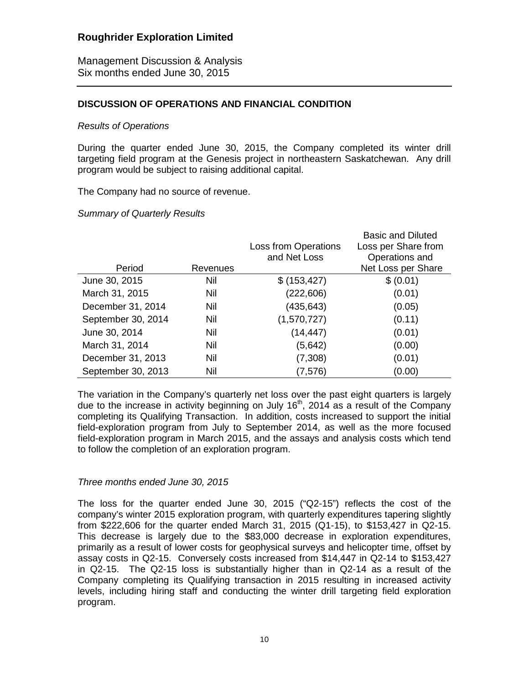Management Discussion & Analysis Six months ended June 30, 2015

### **DISCUSSION OF OPERATIONS AND FINANCIAL CONDITION**

#### *Results of Operations*

During the quarter ended June 30, 2015, the Company completed its winter drill targeting field program at the Genesis project in northeastern Saskatchewan. Any drill program would be subject to raising additional capital.

The Company had no source of revenue.

#### *Summary of Quarterly Results*

|                    |          |                             | <b>Basic and Diluted</b> |
|--------------------|----------|-----------------------------|--------------------------|
|                    |          | <b>Loss from Operations</b> | Loss per Share from      |
|                    |          | and Net Loss                | Operations and           |
| Period             | Revenues |                             | Net Loss per Share       |
| June 30, 2015      | Nil      | \$ (153, 427)               | \$ (0.01)                |
| March 31, 2015     | Nil      | (222, 606)                  | (0.01)                   |
| December 31, 2014  | Nil      | (435, 643)                  | (0.05)                   |
| September 30, 2014 | Nil      | (1,570,727)                 | (0.11)                   |
| June 30, 2014      | Nil      | (14, 447)                   | (0.01)                   |
| March 31, 2014     | Nil      | (5,642)                     | (0.00)                   |
| December 31, 2013  | Nil      | (7,308)                     | (0.01)                   |
| September 30, 2013 | Nil      | (7, 576)                    | (0.00)                   |

The variation in the Company's quarterly net loss over the past eight quarters is largely due to the increase in activity beginning on July  $16<sup>th</sup>$ , 2014 as a result of the Company completing its Qualifying Transaction. In addition, costs increased to support the initial field-exploration program from July to September 2014, as well as the more focused field-exploration program in March 2015, and the assays and analysis costs which tend to follow the completion of an exploration program.

### *Three months ended June 30, 2015*

The loss for the quarter ended June 30, 2015 ("Q2-15") reflects the cost of the company's winter 2015 exploration program, with quarterly expenditures tapering slightly from \$222,606 for the quarter ended March 31, 2015 (Q1-15), to \$153,427 in Q2-15. This decrease is largely due to the \$83,000 decrease in exploration expenditures, primarily as a result of lower costs for geophysical surveys and helicopter time, offset by assay costs in Q2-15. Conversely costs increased from \$14,447 in Q2-14 to \$153,427 in Q2-15. The Q2-15 loss is substantially higher than in Q2-14 as a result of the Company completing its Qualifying transaction in 2015 resulting in increased activity levels, including hiring staff and conducting the winter drill targeting field exploration program.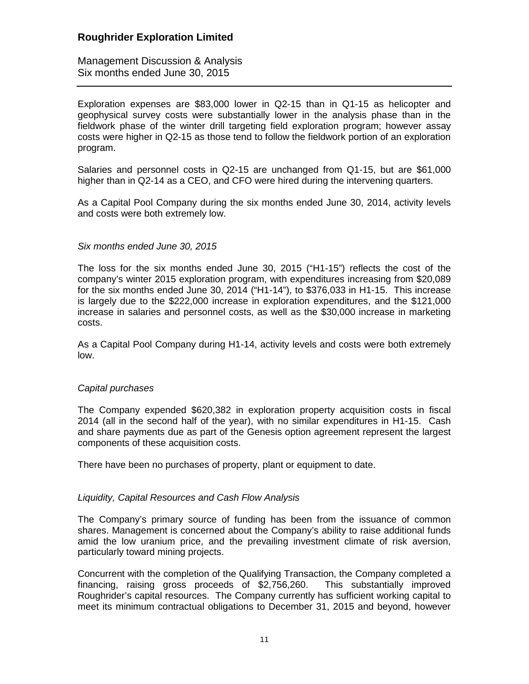Management Discussion & Analysis Six months ended June 30, 2015

Exploration expenses are \$83,000 lower in Q2-15 than in Q1-15 as helicopter and geophysical survey costs were substantially lower in the analysis phase than in the fieldwork phase of the winter drill targeting field exploration program; however assay costs were higher in Q2-15 as those tend to follow the fieldwork portion of an exploration program.

Salaries and personnel costs in Q2-15 are unchanged from Q1-15, but are \$61,000 higher than in Q2-14 as a CEO, and CFO were hired during the intervening quarters.

As a Capital Pool Company during the six months ended June 30, 2014, activity levels and costs were both extremely low.

#### *Six months ended June 30, 2015*

The loss for the six months ended June 30, 2015 ("H1-15") reflects the cost of the company's winter 2015 exploration program, with expenditures increasing from \$20,089 for the six months ended June 30, 2014 ("H1-14"), to \$376,033 in H1-15. This increase is largely due to the \$222,000 increase in exploration expenditures, and the \$121,000 increase in salaries and personnel costs, as well as the \$30,000 increase in marketing costs.

As a Capital Pool Company during H1-14, activity levels and costs were both extremely low.

#### *Capital purchases*

The Company expended \$620,382 in exploration property acquisition costs in fiscal 2014 (all in the second half of the year), with no similar expenditures in H1-15. Cash and share payments due as part of the Genesis option agreement represent the largest components of these acquisition costs.

There have been no purchases of property, plant or equipment to date.

### *Liquidity, Capital Resources and Cash Flow Analysis*

The Company's primary source of funding has been from the issuance of common shares. Management is concerned about the Company's ability to raise additional funds amid the low uranium price, and the prevailing investment climate of risk aversion, particularly toward mining projects.

Concurrent with the completion of the Qualifying Transaction, the Company completed a financing, raising gross proceeds of \$2,756,260. This substantially improved Roughrider's capital resources. The Company currently has sufficient working capital to meet its minimum contractual obligations to December 31, 2015 and beyond, however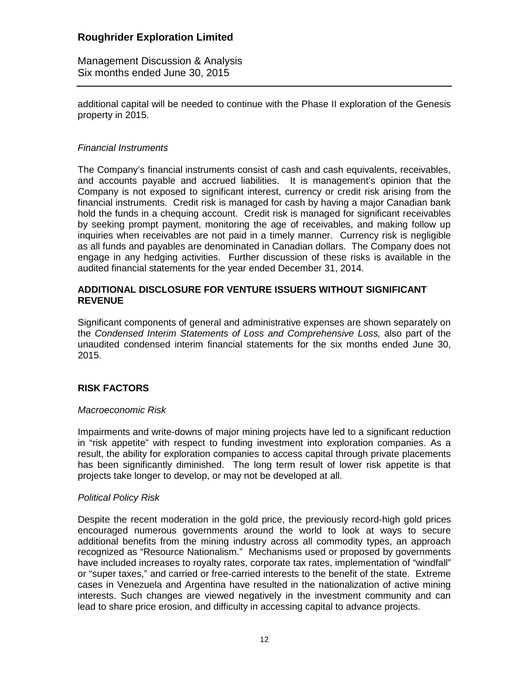Management Discussion & Analysis Six months ended June 30, 2015

additional capital will be needed to continue with the Phase II exploration of the Genesis property in 2015.

### *Financial Instruments*

The Company's financial instruments consist of cash and cash equivalents, receivables, and accounts payable and accrued liabilities. It is management's opinion that the Company is not exposed to significant interest, currency or credit risk arising from the financial instruments. Credit risk is managed for cash by having a major Canadian bank hold the funds in a chequing account. Credit risk is managed for significant receivables by seeking prompt payment, monitoring the age of receivables, and making follow up inquiries when receivables are not paid in a timely manner. Currency risk is negligible as all funds and payables are denominated in Canadian dollars. The Company does not engage in any hedging activities. Further discussion of these risks is available in the audited financial statements for the year ended December 31, 2014.

### **ADDITIONAL DISCLOSURE FOR VENTURE ISSUERS WITHOUT SIGNIFICANT REVENUE**

Significant components of general and administrative expenses are shown separately on the *Condensed Interim Statements of Loss and Comprehensive Loss,* also part of the unaudited condensed interim financial statements for the six months ended June 30, 2015.

### **RISK FACTORS**

### *Macroeconomic Risk*

Impairments and write-downs of major mining projects have led to a significant reduction in "risk appetite" with respect to funding investment into exploration companies. As a result, the ability for exploration companies to access capital through private placements has been significantly diminished. The long term result of lower risk appetite is that projects take longer to develop, or may not be developed at all.

### *Political Policy Risk*

Despite the recent moderation in the gold price, the previously record-high gold prices encouraged numerous governments around the world to look at ways to secure additional benefits from the mining industry across all commodity types, an approach recognized as "Resource Nationalism." Mechanisms used or proposed by governments have included increases to royalty rates, corporate tax rates, implementation of "windfall" or "super taxes," and carried or free-carried interests to the benefit of the state. Extreme cases in Venezuela and Argentina have resulted in the nationalization of active mining interests. Such changes are viewed negatively in the investment community and can lead to share price erosion, and difficulty in accessing capital to advance projects.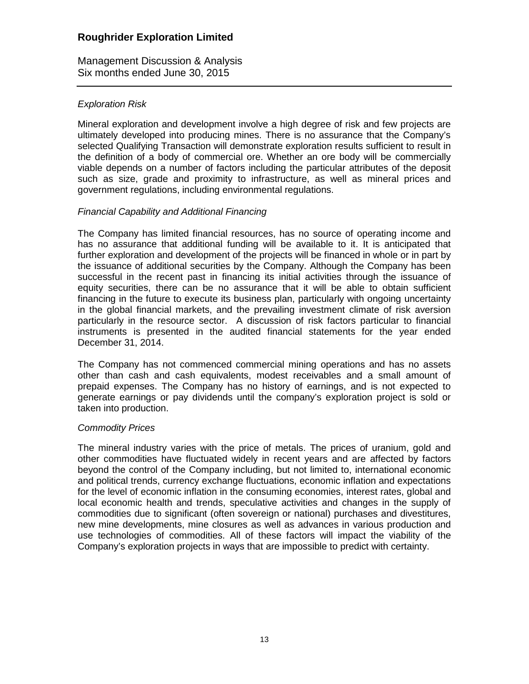Management Discussion & Analysis Six months ended June 30, 2015

### *Exploration Risk*

Mineral exploration and development involve a high degree of risk and few projects are ultimately developed into producing mines. There is no assurance that the Company's selected Qualifying Transaction will demonstrate exploration results sufficient to result in the definition of a body of commercial ore. Whether an ore body will be commercially viable depends on a number of factors including the particular attributes of the deposit such as size, grade and proximity to infrastructure, as well as mineral prices and government regulations, including environmental regulations.

### *Financial Capability and Additional Financing*

The Company has limited financial resources, has no source of operating income and has no assurance that additional funding will be available to it. It is anticipated that further exploration and development of the projects will be financed in whole or in part by the issuance of additional securities by the Company. Although the Company has been successful in the recent past in financing its initial activities through the issuance of equity securities, there can be no assurance that it will be able to obtain sufficient financing in the future to execute its business plan, particularly with ongoing uncertainty in the global financial markets, and the prevailing investment climate of risk aversion particularly in the resource sector. A discussion of risk factors particular to financial instruments is presented in the audited financial statements for the year ended December 31, 2014.

The Company has not commenced commercial mining operations and has no assets other than cash and cash equivalents, modest receivables and a small amount of prepaid expenses. The Company has no history of earnings, and is not expected to generate earnings or pay dividends until the company's exploration project is sold or taken into production.

### *Commodity Prices*

The mineral industry varies with the price of metals. The prices of uranium, gold and other commodities have fluctuated widely in recent years and are affected by factors beyond the control of the Company including, but not limited to, international economic and political trends, currency exchange fluctuations, economic inflation and expectations for the level of economic inflation in the consuming economies, interest rates, global and local economic health and trends, speculative activities and changes in the supply of commodities due to significant (often sovereign or national) purchases and divestitures, new mine developments, mine closures as well as advances in various production and use technologies of commodities. All of these factors will impact the viability of the Company's exploration projects in ways that are impossible to predict with certainty.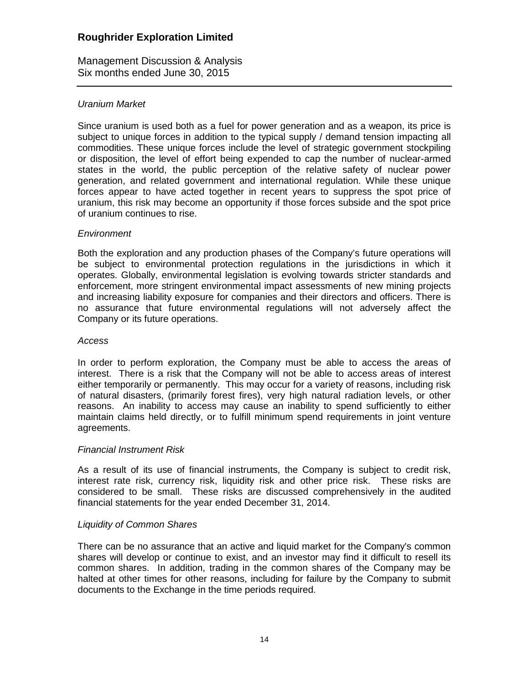Management Discussion & Analysis Six months ended June 30, 2015

### *Uranium Market*

Since uranium is used both as a fuel for power generation and as a weapon, its price is subject to unique forces in addition to the typical supply / demand tension impacting all commodities. These unique forces include the level of strategic government stockpiling or disposition, the level of effort being expended to cap the number of nuclear-armed states in the world, the public perception of the relative safety of nuclear power generation, and related government and international regulation. While these unique forces appear to have acted together in recent years to suppress the spot price of uranium, this risk may become an opportunity if those forces subside and the spot price of uranium continues to rise.

### *Environment*

Both the exploration and any production phases of the Company's future operations will be subject to environmental protection regulations in the jurisdictions in which it operates. Globally, environmental legislation is evolving towards stricter standards and enforcement, more stringent environmental impact assessments of new mining projects and increasing liability exposure for companies and their directors and officers. There is no assurance that future environmental regulations will not adversely affect the Company or its future operations.

#### *Access*

In order to perform exploration, the Company must be able to access the areas of interest. There is a risk that the Company will not be able to access areas of interest either temporarily or permanently. This may occur for a variety of reasons, including risk of natural disasters, (primarily forest fires), very high natural radiation levels, or other reasons. An inability to access may cause an inability to spend sufficiently to either maintain claims held directly, or to fulfill minimum spend requirements in joint venture agreements.

### *Financial Instrument Risk*

As a result of its use of financial instruments, the Company is subject to credit risk, interest rate risk, currency risk, liquidity risk and other price risk. These risks are considered to be small. These risks are discussed comprehensively in the audited financial statements for the year ended December 31, 2014.

### *Liquidity of Common Shares*

There can be no assurance that an active and liquid market for the Company's common shares will develop or continue to exist, and an investor may find it difficult to resell its common shares. In addition, trading in the common shares of the Company may be halted at other times for other reasons, including for failure by the Company to submit documents to the Exchange in the time periods required.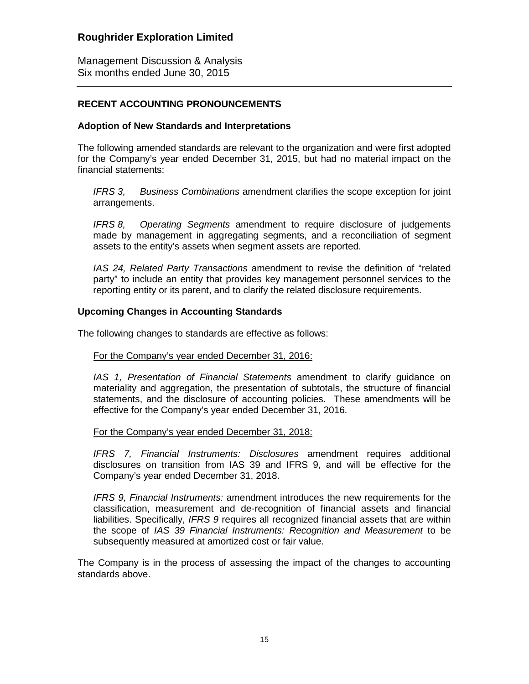Management Discussion & Analysis Six months ended June 30, 2015

### **RECENT ACCOUNTING PRONOUNCEMENTS**

### **Adoption of New Standards and Interpretations**

The following amended standards are relevant to the organization and were first adopted for the Company's year ended December 31, 2015, but had no material impact on the financial statements:

*IFRS 3, Business Combinations* amendment clarifies the scope exception for joint arrangements.

*IFRS 8, Operating Segments* amendment to require disclosure of judgements made by management in aggregating segments, and a reconciliation of segment assets to the entity's assets when segment assets are reported.

*IAS 24, Related Party Transactions* amendment to revise the definition of "related party" to include an entity that provides key management personnel services to the reporting entity or its parent, and to clarify the related disclosure requirements.

#### **Upcoming Changes in Accounting Standards**

The following changes to standards are effective as follows:

#### For the Company's year ended December 31, 2016:

*IAS 1, Presentation of Financial Statements* amendment to clarify guidance on materiality and aggregation, the presentation of subtotals, the structure of financial statements, and the disclosure of accounting policies. These amendments will be effective for the Company's year ended December 31, 2016.

#### For the Company's year ended December 31, 2018:

*IFRS 7, Financial Instruments: Disclosures* amendment requires additional disclosures on transition from IAS 39 and IFRS 9, and will be effective for the Company's year ended December 31, 2018.

*IFRS 9, Financial Instruments:* amendment introduces the new requirements for the classification, measurement and de-recognition of financial assets and financial liabilities. Specifically, *IFRS 9* requires all recognized financial assets that are within the scope of *IAS 39 Financial Instruments: Recognition and Measurement* to be subsequently measured at amortized cost or fair value.

The Company is in the process of assessing the impact of the changes to accounting standards above.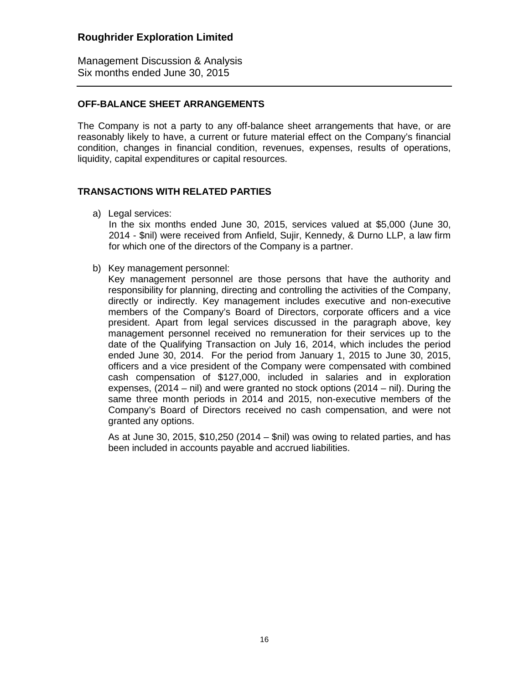Management Discussion & Analysis Six months ended June 30, 2015

### **OFF-BALANCE SHEET ARRANGEMENTS**

The Company is not a party to any off-balance sheet arrangements that have, or are reasonably likely to have, a current or future material effect on the Company's financial condition, changes in financial condition, revenues, expenses, results of operations, liquidity, capital expenditures or capital resources.

### **TRANSACTIONS WITH RELATED PARTIES**

a) Legal services:

In the six months ended June 30, 2015, services valued at \$5,000 (June 30, 2014 - \$nil) were received from Anfield, Sujir, Kennedy, & Durno LLP, a law firm for which one of the directors of the Company is a partner.

b) Key management personnel:

Key management personnel are those persons that have the authority and responsibility for planning, directing and controlling the activities of the Company, directly or indirectly. Key management includes executive and non-executive members of the Company's Board of Directors, corporate officers and a vice president. Apart from legal services discussed in the paragraph above, key management personnel received no remuneration for their services up to the date of the Qualifying Transaction on July 16, 2014, which includes the period ended June 30, 2014. For the period from January 1, 2015 to June 30, 2015, officers and a vice president of the Company were compensated with combined cash compensation of \$127,000, included in salaries and in exploration expenses, (2014 – nil) and were granted no stock options (2014 – nil). During the same three month periods in 2014 and 2015, non-executive members of the Company's Board of Directors received no cash compensation, and were not granted any options.

As at June 30, 2015, \$10,250 (2014 – \$nil) was owing to related parties, and has been included in accounts payable and accrued liabilities.